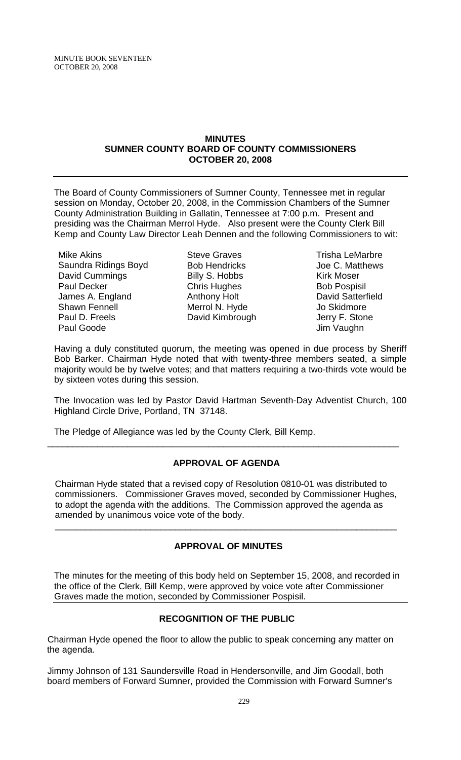#### **MINUTES SUMNER COUNTY BOARD OF COUNTY COMMISSIONERS OCTOBER 20, 2008**

The Board of County Commissioners of Sumner County, Tennessee met in regular session on Monday, October 20, 2008, in the Commission Chambers of the Sumner County Administration Building in Gallatin, Tennessee at 7:00 p.m. Present and presiding was the Chairman Merrol Hyde. Also present were the County Clerk Bill Kemp and County Law Director Leah Dennen and the following Commissioners to wit:

Mike Akins Saundra Ridings Boyd David Cummings Paul Decker James A. England Shawn Fennell Paul D. Freels Paul Goode

Steve Graves Bob Hendricks Billy S. Hobbs Chris Hughes Anthony Holt Merrol N. Hyde David Kimbrough

Trisha LeMarbre Joe C. Matthews Kirk Moser Bob Pospisil David Satterfield Jo Skidmore Jerry F. Stone Jim Vaughn

Having a duly constituted quorum, the meeting was opened in due process by Sheriff Bob Barker. Chairman Hyde noted that with twenty-three members seated, a simple majority would be by twelve votes; and that matters requiring a two-thirds vote would be by sixteen votes during this session.

The Invocation was led by Pastor David Hartman Seventh-Day Adventist Church, 100 Highland Circle Drive, Portland, TN 37148.

The Pledge of Allegiance was led by the County Clerk, Bill Kemp.

# **APPROVAL OF AGENDA**

\_\_\_\_\_\_\_\_\_\_\_\_\_\_\_\_\_\_\_\_\_\_\_\_\_\_\_\_\_\_\_\_\_\_\_\_\_\_\_\_\_\_\_\_\_\_\_\_\_\_\_\_\_\_\_\_\_\_\_\_\_\_\_\_\_\_\_\_\_\_

Chairman Hyde stated that a revised copy of Resolution 0810-01 was distributed to commissioners. Commissioner Graves moved, seconded by Commissioner Hughes, to adopt the agenda with the additions. The Commission approved the agenda as amended by unanimous voice vote of the body.

 $\overline{\phantom{a}}$  , and the contribution of the contribution of the contribution of the contribution of the contribution of the contribution of the contribution of the contribution of the contribution of the contribution of the

# **APPROVAL OF MINUTES**

The minutes for the meeting of this body held on September 15, 2008, and recorded in the office of the Clerk, Bill Kemp, were approved by voice vote after Commissioner Graves made the motion, seconded by Commissioner Pospisil.

# **RECOGNITION OF THE PUBLIC**

Chairman Hyde opened the floor to allow the public to speak concerning any matter on the agenda.

Jimmy Johnson of 131 Saundersville Road in Hendersonville, and Jim Goodall, both board members of Forward Sumner, provided the Commission with Forward Sumner's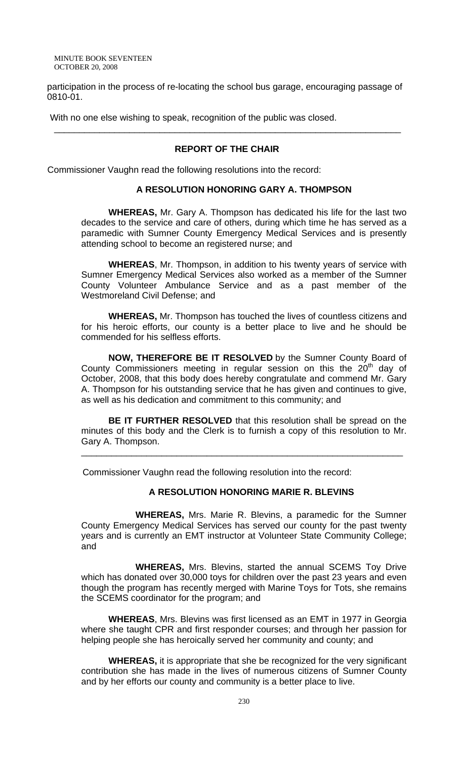participation in the process of re-locating the school bus garage, encouraging passage of 0810-01.

With no one else wishing to speak, recognition of the public was closed.

## **REPORT OF THE CHAIR**

\_\_\_\_\_\_\_\_\_\_\_\_\_\_\_\_\_\_\_\_\_\_\_\_\_\_\_\_\_\_\_\_\_\_\_\_\_\_\_\_\_\_\_\_\_\_\_\_\_\_\_\_\_\_\_\_\_\_\_\_\_\_\_\_\_\_\_\_\_

Commissioner Vaughn read the following resolutions into the record:

# **A RESOLUTION HONORING GARY A. THOMPSON**

**WHEREAS,** Mr. Gary A. Thompson has dedicated his life for the last two decades to the service and care of others, during which time he has served as a paramedic with Sumner County Emergency Medical Services and is presently attending school to become an registered nurse; and

**WHEREAS**, Mr. Thompson, in addition to his twenty years of service with Sumner Emergency Medical Services also worked as a member of the Sumner County Volunteer Ambulance Service and as a past member of the Westmoreland Civil Defense; and

**WHEREAS,** Mr. Thompson has touched the lives of countless citizens and for his heroic efforts, our county is a better place to live and he should be commended for his selfless efforts.

**NOW, THEREFORE BE IT RESOLVED** by the Sumner County Board of County Commissioners meeting in regular session on this the  $20<sup>th</sup>$  day of October, 2008, that this body does hereby congratulate and commend Mr. Gary A. Thompson for his outstanding service that he has given and continues to give, as well as his dedication and commitment to this community; and

**BE IT FURTHER RESOLVED** that this resolution shall be spread on the minutes of this body and the Clerk is to furnish a copy of this resolution to Mr. Gary A. Thompson.

\_\_\_\_\_\_\_\_\_\_\_\_\_\_\_\_\_\_\_\_\_\_\_\_\_\_\_\_\_\_\_\_\_\_\_\_\_\_\_\_\_\_\_\_\_\_\_\_\_\_\_\_\_\_\_\_\_\_\_\_\_\_\_\_

Commissioner Vaughn read the following resolution into the record:

#### **A RESOLUTION HONORING MARIE R. BLEVINS**

 **WHEREAS,** Mrs. Marie R. Blevins, a paramedic for the Sumner County Emergency Medical Services has served our county for the past twenty years and is currently an EMT instructor at Volunteer State Community College; and

**WHEREAS,** Mrs. Blevins, started the annual SCEMS Toy Drive which has donated over 30,000 toys for children over the past 23 years and even though the program has recently merged with Marine Toys for Tots, she remains the SCEMS coordinator for the program; and

**WHEREAS**, Mrs. Blevins was first licensed as an EMT in 1977 in Georgia where she taught CPR and first responder courses; and through her passion for helping people she has heroically served her community and county; and

**WHEREAS,** it is appropriate that she be recognized for the very significant contribution she has made in the lives of numerous citizens of Sumner County and by her efforts our county and community is a better place to live.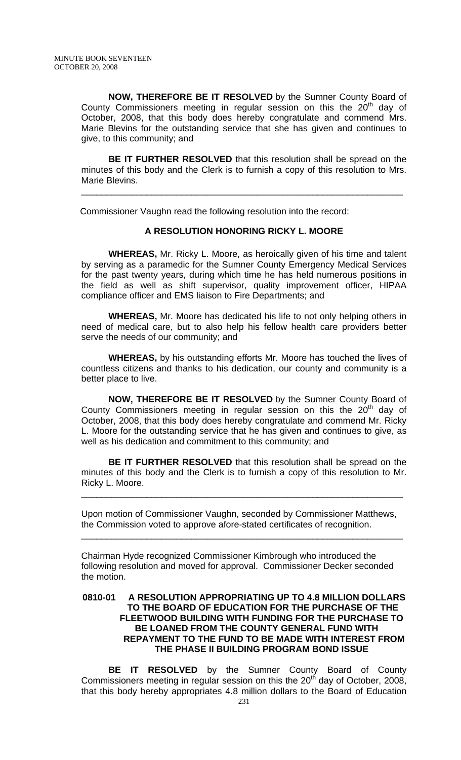**NOW, THEREFORE BE IT RESOLVED** by the Sumner County Board of County Commissioners meeting in regular session on this the  $20<sup>th</sup>$  day of October, 2008, that this body does hereby congratulate and commend Mrs. Marie Blevins for the outstanding service that she has given and continues to give, to this community; and

**BE IT FURTHER RESOLVED** that this resolution shall be spread on the minutes of this body and the Clerk is to furnish a copy of this resolution to Mrs. Marie Blevins.

\_\_\_\_\_\_\_\_\_\_\_\_\_\_\_\_\_\_\_\_\_\_\_\_\_\_\_\_\_\_\_\_\_\_\_\_\_\_\_\_\_\_\_\_\_\_\_\_\_\_\_\_\_\_\_\_\_\_\_\_\_\_\_\_

Commissioner Vaughn read the following resolution into the record:

#### **A RESOLUTION HONORING RICKY L. MOORE**

**WHEREAS,** Mr. Ricky L. Moore, as heroically given of his time and talent by serving as a paramedic for the Sumner County Emergency Medical Services for the past twenty years, during which time he has held numerous positions in the field as well as shift supervisor, quality improvement officer, HIPAA compliance officer and EMS liaison to Fire Departments; and

 **WHEREAS,** Mr. Moore has dedicated his life to not only helping others in need of medical care, but to also help his fellow health care providers better serve the needs of our community; and

**WHEREAS,** by his outstanding efforts Mr. Moore has touched the lives of countless citizens and thanks to his dedication, our county and community is a better place to live.

**NOW, THEREFORE BE IT RESOLVED** by the Sumner County Board of County Commissioners meeting in regular session on this the  $20<sup>th</sup>$  day of October, 2008, that this body does hereby congratulate and commend Mr. Ricky L. Moore for the outstanding service that he has given and continues to give, as well as his dedication and commitment to this community; and

**BE IT FURTHER RESOLVED** that this resolution shall be spread on the minutes of this body and the Clerk is to furnish a copy of this resolution to Mr. Ricky L. Moore.

\_\_\_\_\_\_\_\_\_\_\_\_\_\_\_\_\_\_\_\_\_\_\_\_\_\_\_\_\_\_\_\_\_\_\_\_\_\_\_\_\_\_\_\_\_\_\_\_\_\_\_\_\_\_\_\_\_\_\_\_\_\_\_\_

Upon motion of Commissioner Vaughn, seconded by Commissioner Matthews, the Commission voted to approve afore-stated certificates of recognition.

\_\_\_\_\_\_\_\_\_\_\_\_\_\_\_\_\_\_\_\_\_\_\_\_\_\_\_\_\_\_\_\_\_\_\_\_\_\_\_\_\_\_\_\_\_\_\_\_\_\_\_\_\_\_\_\_\_\_\_\_\_\_\_\_

Chairman Hyde recognized Commissioner Kimbrough who introduced the following resolution and moved for approval. Commissioner Decker seconded the motion.

## **0810-01 A RESOLUTION APPROPRIATING UP TO 4.8 MILLION DOLLARS TO THE BOARD OF EDUCATION FOR THE PURCHASE OF THE FLEETWOOD BUILDING WITH FUNDING FOR THE PURCHASE TO BE LOANED FROM THE COUNTY GENERAL FUND WITH REPAYMENT TO THE FUND TO BE MADE WITH INTEREST FROM THE PHASE II BUILDING PROGRAM BOND ISSUE**

**BE IT RESOLVED** by the Sumner County Board of County Commissioners meeting in regular session on this the  $20<sup>th</sup>$  day of October, 2008, that this body hereby appropriates 4.8 million dollars to the Board of Education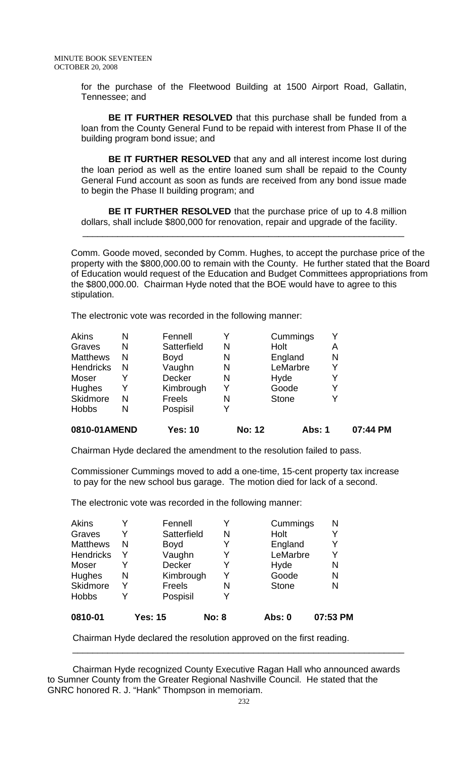for the purchase of the Fleetwood Building at 1500 Airport Road, Gallatin, Tennessee; and

**BE IT FURTHER RESOLVED** that this purchase shall be funded from a loan from the County General Fund to be repaid with interest from Phase II of the building program bond issue; and

**BE IT FURTHER RESOLVED** that any and all interest income lost during the loan period as well as the entire loaned sum shall be repaid to the County General Fund account as soon as funds are received from any bond issue made to begin the Phase II building program; and

**BE IT FURTHER RESOLVED** that the purchase price of up to 4.8 million dollars, shall include \$800,000 for renovation, repair and upgrade of the facility.

\_\_\_\_\_\_\_\_\_\_\_\_\_\_\_\_\_\_\_\_\_\_\_\_\_\_\_\_\_\_\_\_\_\_\_\_\_\_\_\_\_\_\_\_\_\_\_\_\_\_\_\_\_\_\_\_\_\_\_\_\_\_\_\_

Comm. Goode moved, seconded by Comm. Hughes, to accept the purchase price of the property with the \$800,000.00 to remain with the County. He further stated that the Board of Education would request of the Education and Budget Committees appropriations from the \$800,000.00. Chairman Hyde noted that the BOE would have to agree to this stipulation.

The electronic vote was recorded in the following manner:

| 0810-01AMEND     |   | <b>Yes: 10</b> | <b>No: 12</b> | Abs: 1       |   | 07:44 PM |
|------------------|---|----------------|---------------|--------------|---|----------|
| <b>Hobbs</b>     | N | Pospisil       |               |              |   |          |
| Skidmore         | N | Freels         | N             | <b>Stone</b> | Y |          |
| Hughes           | Y | Kimbrough      | Y             | Goode        | Y |          |
| Moser            |   | <b>Decker</b>  | N             | Hyde         | Y |          |
| <b>Hendricks</b> | N | Vaughn         | N             | LeMarbre     | Y |          |
| <b>Matthews</b>  | N | <b>Boyd</b>    | N             | England      | N |          |
| Graves           | N | Satterfield    | N             | Holt         | Α |          |
| <b>Akins</b>     | N | Fennell        |               | Cummings     | Y |          |

Chairman Hyde declared the amendment to the resolution failed to pass.

Commissioner Cummings moved to add a one-time, 15-cent property tax increase to pay for the new school bus garage. The motion died for lack of a second.

The electronic vote was recorded in the following manner:

| Akins            |   | Fennell        |              | Cummings      | N        |
|------------------|---|----------------|--------------|---------------|----------|
| Graves           | Y | Satterfield    | N            | Holt          | Y        |
| <b>Matthews</b>  | N | <b>Boyd</b>    | Y            | England       | Y        |
| <b>Hendricks</b> | Y | Vaughn         | Y            | LeMarbre      | Y        |
| Moser            | Y | <b>Decker</b>  | Y            | Hyde          | N        |
| <b>Hughes</b>    | N | Kimbrough      | Y            | Goode         | N        |
| Skidmore         | Y | Freels         | N            | <b>Stone</b>  | N        |
| <b>Hobbs</b>     | Y | Pospisil       |              |               |          |
| 0810-01          |   | <b>Yes: 15</b> | <b>No: 8</b> | <b>Abs: 0</b> | 07:53 PM |

Chairman Hyde declared the resolution approved on the first reading.

 Chairman Hyde recognized County Executive Ragan Hall who announced awards to Sumner County from the Greater Regional Nashville Council. He stated that the GNRC honored R. J. "Hank" Thompson in memoriam.

 $\overline{\phantom{a}}$  ,  $\overline{\phantom{a}}$  ,  $\overline{\phantom{a}}$  ,  $\overline{\phantom{a}}$  ,  $\overline{\phantom{a}}$  ,  $\overline{\phantom{a}}$  ,  $\overline{\phantom{a}}$  ,  $\overline{\phantom{a}}$  ,  $\overline{\phantom{a}}$  ,  $\overline{\phantom{a}}$  ,  $\overline{\phantom{a}}$  ,  $\overline{\phantom{a}}$  ,  $\overline{\phantom{a}}$  ,  $\overline{\phantom{a}}$  ,  $\overline{\phantom{a}}$  ,  $\overline{\phantom{a}}$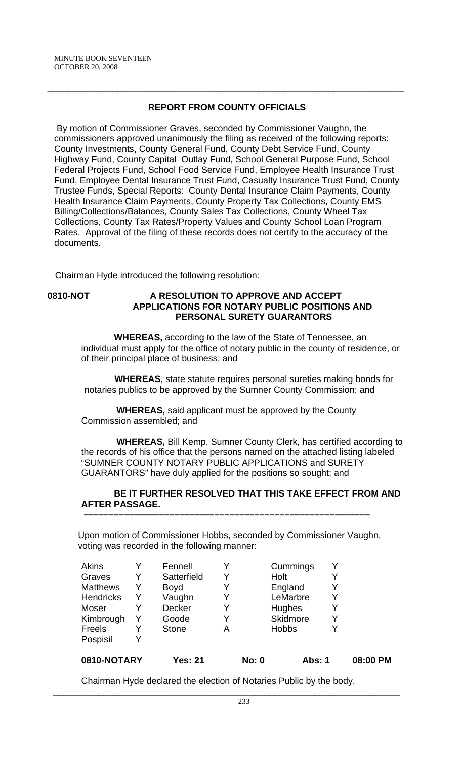# **REPORT FROM COUNTY OFFICIALS**

\_\_\_\_\_\_\_\_\_\_\_\_\_\_\_\_\_\_\_\_\_\_\_\_\_\_\_\_\_\_\_\_\_\_\_\_\_\_\_\_\_\_\_\_\_\_\_\_\_\_\_\_\_\_\_\_\_\_\_\_\_\_\_\_\_\_\_\_\_\_\_

 By motion of Commissioner Graves, seconded by Commissioner Vaughn, the commissioners approved unanimously the filing as received of the following reports: County Investments, County General Fund, County Debt Service Fund, County Highway Fund, County Capital Outlay Fund, School General Purpose Fund, School Federal Projects Fund, School Food Service Fund, Employee Health Insurance Trust Fund, Employee Dental Insurance Trust Fund, Casualty Insurance Trust Fund, County Trustee Funds, Special Reports: County Dental Insurance Claim Payments, County Health Insurance Claim Payments, County Property Tax Collections, County EMS Billing/Collections/Balances, County Sales Tax Collections, County Wheel Tax Collections, County Tax Rates/Property Values and County School Loan Program Rates. Approval of the filing of these records does not certify to the accuracy of the documents.

Chairman Hyde introduced the following resolution:

## **0810-NOT A RESOLUTION TO APPROVE AND ACCEPT APPLICATIONS FOR NOTARY PUBLIC POSITIONS AND PERSONAL SURETY GUARANTORS**

 **WHEREAS,** according to the law of the State of Tennessee, an individual must apply for the office of notary public in the county of residence, or of their principal place of business; and

 **WHEREAS**, state statute requires personal sureties making bonds for notaries publics to be approved by the Sumner County Commission; and

 **WHEREAS,** said applicant must be approved by the County Commission assembled; and

 **WHEREAS,** Bill Kemp, Sumner County Clerk, has certified according to the records of his office that the persons named on the attached listing labeled "SUMNER COUNTY NOTARY PUBLIC APPLICATIONS and SURETY GUARANTORS" have duly applied for the positions so sought; and

## **BE IT FURTHER RESOLVED THAT THIS TAKE EFFECT FROM AND AFTER PASSAGE.**

Upon motion of Commissioner Hobbs, seconded by Commissioner Vaughn, voting was recorded in the following manner:

 **–––––––––––––––––––––––––––––––––––––––––––––––––––––––––**

| <b>Akins</b>     |   | Fennell        |   |              | Cummings        | Y |          |
|------------------|---|----------------|---|--------------|-----------------|---|----------|
| Graves           | Y | Satterfield    | Y |              | Holt            |   |          |
| <b>Matthews</b>  | Y | <b>Boyd</b>    | Y |              | England         |   |          |
| <b>Hendricks</b> | Y | Vaughn         | Y |              | LeMarbre        | Y |          |
| Moser            |   | <b>Decker</b>  | Y |              | Hughes          | Y |          |
| Kimbrough        | Y | Goode          | Y |              | <b>Skidmore</b> | Y |          |
| Freels           |   | <b>Stone</b>   | Α |              | <b>Hobbs</b>    | Υ |          |
| Pospisil         |   |                |   |              |                 |   |          |
| 0810-NOTARY      |   | <b>Yes: 21</b> |   | <b>No: 0</b> | <b>Abs: 1</b>   |   | 08:00 PM |

Chairman Hyde declared the election of Notaries Public by the body.

\_\_\_\_\_\_\_\_\_\_\_\_\_\_\_\_\_\_\_\_\_\_\_\_\_\_\_\_\_\_\_\_\_\_\_\_\_\_\_\_\_\_\_\_\_\_\_\_\_\_\_\_\_\_\_\_\_\_\_\_\_\_\_\_\_\_\_\_\_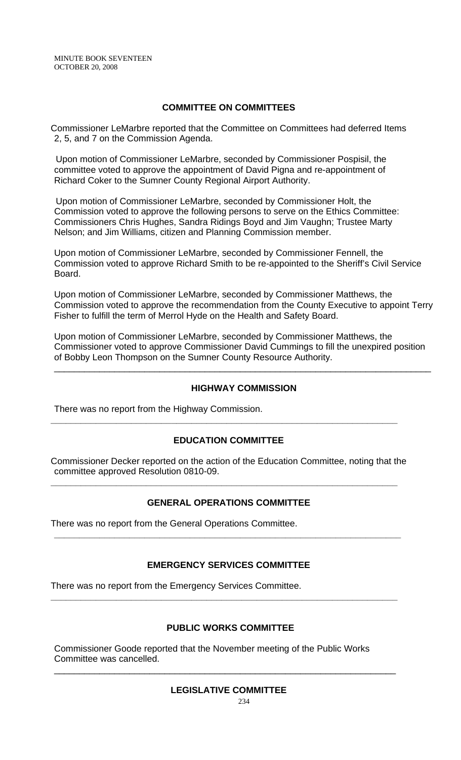## **COMMITTEE ON COMMITTEES**

Commissioner LeMarbre reported that the Committee on Committees had deferred Items 2, 5, and 7 on the Commission Agenda.

 Upon motion of Commissioner LeMarbre, seconded by Commissioner Pospisil, the committee voted to approve the appointment of David Pigna and re-appointment of Richard Coker to the Sumner County Regional Airport Authority.

 Upon motion of Commissioner LeMarbre, seconded by Commissioner Holt, the Commission voted to approve the following persons to serve on the Ethics Committee: Commissioners Chris Hughes, Sandra Ridings Boyd and Jim Vaughn; Trustee Marty Nelson; and Jim Williams, citizen and Planning Commission member.

Upon motion of Commissioner LeMarbre, seconded by Commissioner Fennell, the Commission voted to approve Richard Smith to be re-appointed to the Sheriff's Civil Service Board.

Upon motion of Commissioner LeMarbre, seconded by Commissioner Matthews, the Commission voted to approve the recommendation from the County Executive to appoint Terry Fisher to fulfill the term of Merrol Hyde on the Health and Safety Board.

Upon motion of Commissioner LeMarbre, seconded by Commissioner Matthews, the Commissioner voted to approve Commissioner David Cummings to fill the unexpired position of Bobby Leon Thompson on the Sumner County Resource Authority.

#### **HIGHWAY COMMISSION**

\_\_\_\_\_\_\_\_\_\_\_\_\_\_\_\_\_\_\_\_\_\_\_\_\_\_\_\_\_\_\_\_\_\_\_\_\_\_\_\_\_\_\_\_\_\_\_\_\_\_\_\_\_\_\_\_\_\_\_\_\_\_\_\_\_\_\_\_\_\_\_\_\_\_\_

There was no report from the Highway Commission.

### **EDUCATION COMMITTEE**

**\_\_\_\_\_\_\_\_\_\_\_\_\_\_\_\_\_\_\_\_\_\_\_\_\_\_\_\_\_\_\_\_\_\_\_\_\_\_\_\_\_\_\_\_\_\_\_\_\_\_\_\_\_\_\_\_\_\_\_\_\_\_\_\_\_\_\_\_\_** 

Commissioner Decker reported on the action of the Education Committee, noting that the committee approved Resolution 0810-09.

**\_\_\_\_\_\_\_\_\_\_\_\_\_\_\_\_\_\_\_\_\_\_\_\_\_\_\_\_\_\_\_\_\_\_\_\_\_\_\_\_\_\_\_\_\_\_\_\_\_\_\_\_\_\_\_\_\_\_\_\_\_\_\_\_\_\_\_\_\_** 

# **GENERAL OPERATIONS COMMITTEE**

There was no report from the General Operations Committee.

#### **EMERGENCY SERVICES COMMITTEE**

**\_\_\_\_\_\_\_\_\_\_\_\_\_\_\_\_\_\_\_\_\_\_\_\_\_\_\_\_\_\_\_\_\_\_\_\_\_\_\_\_\_\_\_\_\_\_\_\_\_\_\_\_\_\_\_\_\_\_\_\_\_\_\_\_\_\_\_\_\_** 

**\_\_\_\_\_\_\_\_\_\_\_\_\_\_\_\_\_\_\_\_\_\_\_\_\_\_\_\_\_\_\_\_\_\_\_\_\_\_\_\_\_\_\_\_\_\_\_\_\_\_\_\_\_\_\_\_\_\_\_\_\_\_\_\_\_\_\_\_\_** 

There was no report from the Emergency Services Committee.

#### **PUBLIC WORKS COMMITTEE**

Commissioner Goode reported that the November meeting of the Public Works Committee was cancelled.

\_\_\_\_\_\_\_\_\_\_\_\_\_\_\_\_\_\_\_\_\_\_\_\_\_\_\_\_\_\_\_\_\_\_\_\_\_\_\_\_\_\_\_\_\_\_\_\_\_\_\_\_\_\_\_\_\_\_\_\_\_\_\_\_\_\_\_\_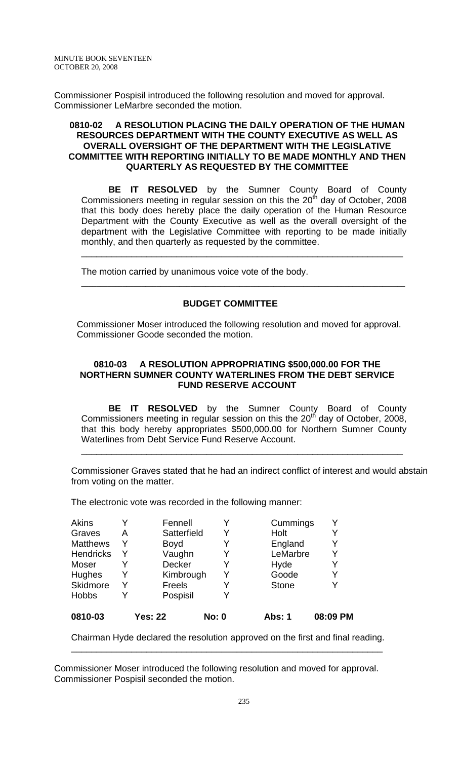Commissioner Pospisil introduced the following resolution and moved for approval. Commissioner LeMarbre seconded the motion.

#### **0810-02 A RESOLUTION PLACING THE DAILY OPERATION OF THE HUMAN RESOURCES DEPARTMENT WITH THE COUNTY EXECUTIVE AS WELL AS OVERALL OVERSIGHT OF THE DEPARTMENT WITH THE LEGISLATIVE COMMITTEE WITH REPORTING INITIALLY TO BE MADE MONTHLY AND THEN QUARTERLY AS REQUESTED BY THE COMMITTEE**

**BE IT RESOLVED** by the Sumner County Board of County Commissioners meeting in regular session on this the  $20<sup>th</sup>$  day of October, 2008 that this body does hereby place the daily operation of the Human Resource Department with the County Executive as well as the overall oversight of the department with the Legislative Committee with reporting to be made initially monthly, and then quarterly as requested by the committee.

\_\_\_\_\_\_\_\_\_\_\_\_\_\_\_\_\_\_\_\_\_\_\_\_\_\_\_\_\_\_\_\_\_\_\_\_\_\_\_\_\_\_\_\_\_\_\_\_\_\_\_\_\_\_\_\_\_\_\_\_\_\_\_\_

The motion carried by unanimous voice vote of the body.

## **BUDGET COMMITTEE**

\_\_\_\_\_\_\_\_\_\_\_\_\_\_\_\_\_\_\_\_\_\_\_\_\_\_\_\_\_\_\_\_\_\_\_\_\_\_\_\_\_\_\_\_\_\_\_\_\_\_\_\_\_\_\_\_\_\_\_\_\_\_\_\_\_\_\_\_\_\_\_\_\_\_\_\_\_\_\_\_\_\_\_\_\_\_

 Commissioner Moser introduced the following resolution and moved for approval. Commissioner Goode seconded the motion.

### **0810-03 A RESOLUTION APPROPRIATING \$500,000.00 FOR THE NORTHERN SUMNER COUNTY WATERLINES FROM THE DEBT SERVICE FUND RESERVE ACCOUNT**

**BE IT RESOLVED** by the Sumner County Board of County Commissioners meeting in regular session on this the 20<sup>th</sup> day of October, 2008, that this body hereby appropriates \$500,000.00 for Northern Sumner County Waterlines from Debt Service Fund Reserve Account.

\_\_\_\_\_\_\_\_\_\_\_\_\_\_\_\_\_\_\_\_\_\_\_\_\_\_\_\_\_\_\_\_\_\_\_\_\_\_\_\_\_\_\_\_\_\_\_\_\_\_\_\_\_\_\_\_\_\_\_\_\_\_\_\_

Commissioner Graves stated that he had an indirect conflict of interest and would abstain from voting on the matter.

The electronic vote was recorded in the following manner:

| 0810-03          |   | <b>Yes: 22</b> | <b>No: 0</b> | <b>Abs: 1</b> | 08:09 PM |
|------------------|---|----------------|--------------|---------------|----------|
| <b>Hobbs</b>     |   | Pospisil       |              |               |          |
| Skidmore         | Y | <b>Freels</b>  |              | <b>Stone</b>  |          |
| <b>Hughes</b>    | Y | Kimbrough      | Y            | Goode         | Y        |
| Moser            |   | Decker         | Y            | Hyde          | Y        |
| <b>Hendricks</b> | Y | Vaughn         |              | LeMarbre      | Y        |
| <b>Matthews</b>  | Y | <b>Boyd</b>    | Y            | England       | Y        |
| Graves           | А | Satterfield    | Y            | Holt          | Y        |
| <b>Akins</b>     |   | Fennell        |              | Cummings      |          |

Chairman Hyde declared the resolution approved on the first and final reading. \_\_\_\_\_\_\_\_\_\_\_\_\_\_\_\_\_\_\_\_\_\_\_\_\_\_\_\_\_\_\_\_\_\_\_\_\_\_\_\_\_\_\_\_\_\_\_\_\_\_\_\_\_\_\_\_\_\_\_\_\_\_

Commissioner Moser introduced the following resolution and moved for approval. Commissioner Pospisil seconded the motion.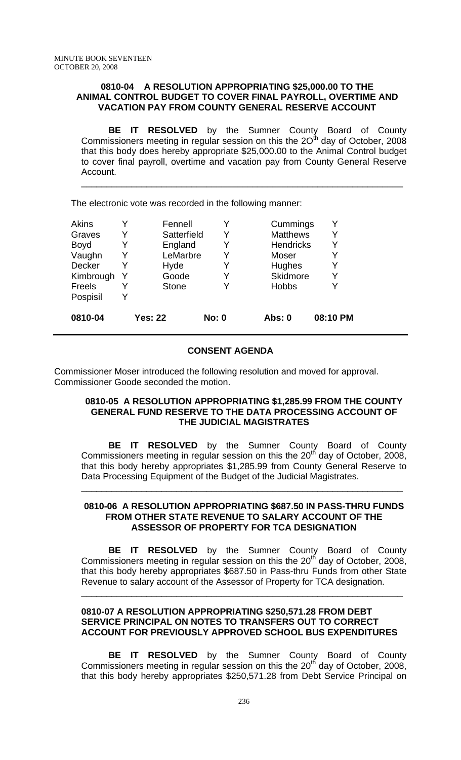#### **0810-04 A RESOLUTION APPROPRIATING \$25,000.00 TO THE ANIMAL CONTROL BUDGET TO COVER FINAL PAYROLL, OVERTIME AND VACATION PAY FROM COUNTY GENERAL RESERVE ACCOUNT**

 **BE IT RESOLVED** by the Sumner County Board of County Commissioners meeting in regular session on this the  $2O<sup>th</sup>$  day of October, 2008 that this body does hereby appropriate \$25,000.00 to the Animal Control budget to cover final payroll, overtime and vacation pay from County General Reserve Account.

\_\_\_\_\_\_\_\_\_\_\_\_\_\_\_\_\_\_\_\_\_\_\_\_\_\_\_\_\_\_\_\_\_\_\_\_\_\_\_\_\_\_\_\_\_\_\_\_\_\_\_\_\_\_\_\_\_\_\_\_\_\_\_\_

The electronic vote was recorded in the following manner:

| Akins         |   | Fennell        |              | Cummings         |          |
|---------------|---|----------------|--------------|------------------|----------|
| Graves        | Y | Satterfield    | Y            | <b>Matthews</b>  | Y        |
| <b>Boyd</b>   |   | England        | Y            | <b>Hendricks</b> |          |
| Vaughn        | Y | LeMarbre       | Y            | Moser            |          |
| <b>Decker</b> |   | Hyde           | Y            | Hughes           |          |
| Kimbrough     | Y | Goode          | Y            | <b>Skidmore</b>  | Y        |
| Freels        |   | <b>Stone</b>   | Y            | <b>Hobbs</b>     |          |
| Pospisil      | Y |                |              |                  |          |
| 0810-04       |   | <b>Yes: 22</b> | <b>No: 0</b> | Abs: 0           | 08:10 PM |

## **CONSENT AGENDA**

Commissioner Moser introduced the following resolution and moved for approval. Commissioner Goode seconded the motion.

#### **0810-05 A RESOLUTION APPROPRIATING \$1,285.99 FROM THE COUNTY GENERAL FUND RESERVE TO THE DATA PROCESSING ACCOUNT OF THE JUDICIAL MAGISTRATES**

**BE IT RESOLVED** by the Sumner County Board of County Commissioners meeting in regular session on this the  $20<sup>th</sup>$  day of October, 2008, that this body hereby appropriates \$1,285.99 from County General Reserve to Data Processing Equipment of the Budget of the Judicial Magistrates.

\_\_\_\_\_\_\_\_\_\_\_\_\_\_\_\_\_\_\_\_\_\_\_\_\_\_\_\_\_\_\_\_\_\_\_\_\_\_\_\_\_\_\_\_\_\_\_\_\_\_\_\_\_\_\_\_\_\_\_\_\_\_\_\_

#### **0810-06 A RESOLUTION APPROPRIATING \$687.50 IN PASS-THRU FUNDS FROM OTHER STATE REVENUE TO SALARY ACCOUNT OF THE ASSESSOR OF PROPERTY FOR TCA DESIGNATION**

**BE IT RESOLVED** by the Sumner County Board of County Commissioners meeting in regular session on this the  $20<sup>th</sup>$  day of October, 2008, that this body hereby appropriates \$687.50 in Pass-thru Funds from other State Revenue to salary account of the Assessor of Property for TCA designation.

\_\_\_\_\_\_\_\_\_\_\_\_\_\_\_\_\_\_\_\_\_\_\_\_\_\_\_\_\_\_\_\_\_\_\_\_\_\_\_\_\_\_\_\_\_\_\_\_\_\_\_\_\_\_\_\_\_\_\_\_\_\_\_\_

## **0810-07 A RESOLUTION APPROPRIATING \$250,571.28 FROM DEBT SERVICE PRINCIPAL ON NOTES TO TRANSFERS OUT TO CORRECT ACCOUNT FOR PREVIOUSLY APPROVED SCHOOL BUS EXPENDITURES**

**BE IT RESOLVED** by the Sumner County Board of County Commissioners meeting in regular session on this the  $20<sup>th</sup>$  day of October, 2008, that this body hereby appropriates \$250,571.28 from Debt Service Principal on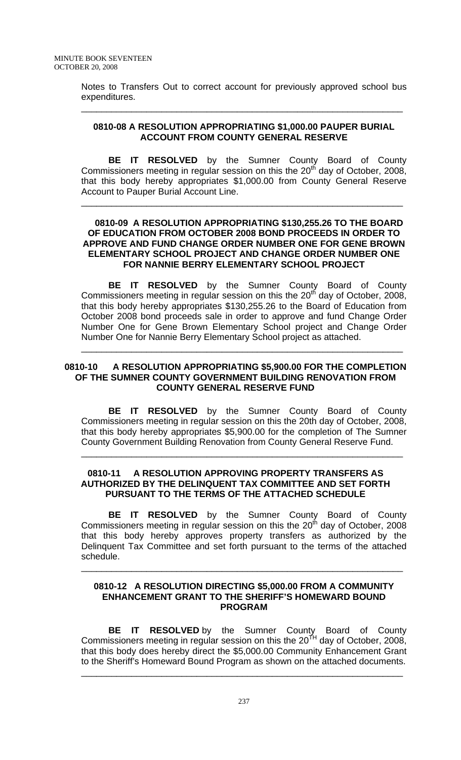Notes to Transfers Out to correct account for previously approved school bus expenditures.

\_\_\_\_\_\_\_\_\_\_\_\_\_\_\_\_\_\_\_\_\_\_\_\_\_\_\_\_\_\_\_\_\_\_\_\_\_\_\_\_\_\_\_\_\_\_\_\_\_\_\_\_\_\_\_\_\_\_\_\_\_\_\_\_

## **0810-08 A RESOLUTION APPROPRIATING \$1,000.00 PAUPER BURIAL ACCOUNT FROM COUNTY GENERAL RESERVE**

**BE IT RESOLVED** by the Sumner County Board of County Commissioners meeting in regular session on this the 20<sup>th</sup> day of October, 2008, that this body hereby appropriates \$1,000.00 from County General Reserve Account to Pauper Burial Account Line.

\_\_\_\_\_\_\_\_\_\_\_\_\_\_\_\_\_\_\_\_\_\_\_\_\_\_\_\_\_\_\_\_\_\_\_\_\_\_\_\_\_\_\_\_\_\_\_\_\_\_\_\_\_\_\_\_\_\_\_\_\_\_\_\_

#### **0810-09 A RESOLUTION APPROPRIATING \$130,255.26 TO THE BOARD OF EDUCATION FROM OCTOBER 2008 BOND PROCEEDS IN ORDER TO APPROVE AND FUND CHANGE ORDER NUMBER ONE FOR GENE BROWN ELEMENTARY SCHOOL PROJECT AND CHANGE ORDER NUMBER ONE FOR NANNIE BERRY ELEMENTARY SCHOOL PROJECT**

**BE IT RESOLVED** by the Sumner County Board of County Commissioners meeting in regular session on this the  $20<sup>th</sup>$  day of October, 2008, that this body hereby appropriates \$130,255.26 to the Board of Education from October 2008 bond proceeds sale in order to approve and fund Change Order Number One for Gene Brown Elementary School project and Change Order Number One for Nannie Berry Elementary School project as attached.

\_\_\_\_\_\_\_\_\_\_\_\_\_\_\_\_\_\_\_\_\_\_\_\_\_\_\_\_\_\_\_\_\_\_\_\_\_\_\_\_\_\_\_\_\_\_\_\_\_\_\_\_\_\_\_\_\_\_\_\_\_\_\_\_

#### **0810-10 A RESOLUTION APPROPRIATING \$5,900.00 FOR THE COMPLETION OF THE SUMNER COUNTY GOVERNMENT BUILDING RENOVATION FROM COUNTY GENERAL RESERVE FUND**

**BE IT RESOLVED** by the Sumner County Board of County Commissioners meeting in regular session on this the 20th day of October, 2008, that this body hereby appropriates \$5,900.00 for the completion of The Sumner County Government Building Renovation from County General Reserve Fund.

\_\_\_\_\_\_\_\_\_\_\_\_\_\_\_\_\_\_\_\_\_\_\_\_\_\_\_\_\_\_\_\_\_\_\_\_\_\_\_\_\_\_\_\_\_\_\_\_\_\_\_\_\_\_\_\_\_\_\_\_\_\_\_\_

## **0810-11 A RESOLUTION APPROVING PROPERTY TRANSFERS AS AUTHORIZED BY THE DELINQUENT TAX COMMITTEE AND SET FORTH PURSUANT TO THE TERMS OF THE ATTACHED SCHEDULE**

**BE IT RESOLVED** by the Sumner County Board of County Commissioners meeting in regular session on this the  $20<sup>th</sup>$  day of October, 2008 that this body hereby approves property transfers as authorized by the Delinquent Tax Committee and set forth pursuant to the terms of the attached schedule.

#### **0810-12 A RESOLUTION DIRECTING \$5,000.00 FROM A COMMUNITY ENHANCEMENT GRANT TO THE SHERIFF'S HOMEWARD BOUND PROGRAM**

\_\_\_\_\_\_\_\_\_\_\_\_\_\_\_\_\_\_\_\_\_\_\_\_\_\_\_\_\_\_\_\_\_\_\_\_\_\_\_\_\_\_\_\_\_\_\_\_\_\_\_\_\_\_\_\_\_\_\_\_\_\_\_\_

**BE IT RESOLVED** by the Sumner County Board of County Commissioners meeting in regular session on this the 20<sup>TH</sup> day of October, 2008, that this body does hereby direct the \$5,000.00 Community Enhancement Grant to the Sheriff's Homeward Bound Program as shown on the attached documents.

\_\_\_\_\_\_\_\_\_\_\_\_\_\_\_\_\_\_\_\_\_\_\_\_\_\_\_\_\_\_\_\_\_\_\_\_\_\_\_\_\_\_\_\_\_\_\_\_\_\_\_\_\_\_\_\_\_\_\_\_\_\_\_\_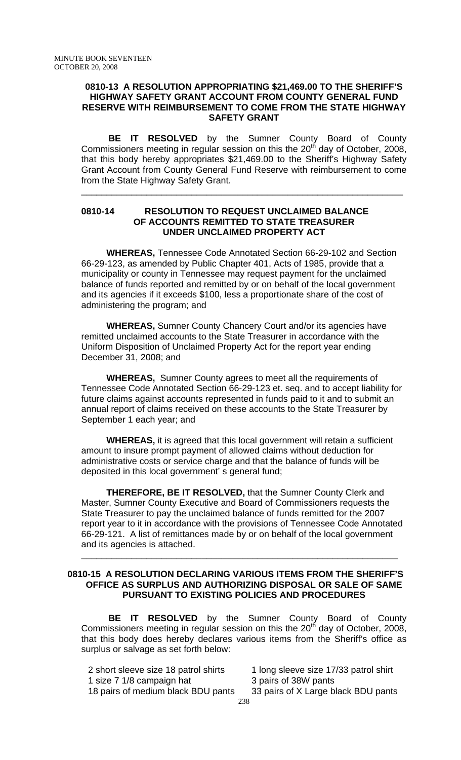#### **0810-13 A RESOLUTION APPROPRIATING \$21,469.00 TO THE SHERIFF'S HIGHWAY SAFETY GRANT ACCOUNT FROM COUNTY GENERAL FUND RESERVE WITH REIMBURSEMENT TO COME FROM THE STATE HIGHWAY SAFETY GRANT**

**BE IT RESOLVED** by the Sumner County Board of County Commissioners meeting in regular session on this the  $20<sup>th</sup>$  day of October, 2008, that this body hereby appropriates \$21,469.00 to the Sheriff's Highway Safety Grant Account from County General Fund Reserve with reimbursement to come from the State Highway Safety Grant.

\_\_\_\_\_\_\_\_\_\_\_\_\_\_\_\_\_\_\_\_\_\_\_\_\_\_\_\_\_\_\_\_\_\_\_\_\_\_\_\_\_\_\_\_\_\_\_\_\_\_\_\_\_\_\_\_\_\_\_\_\_\_\_\_

## **0810-14 RESOLUTION TO REQUEST UNCLAIMED BALANCE OF ACCOUNTS REMITTED TO STATE TREASURER UNDER UNCLAIMED PROPERTY ACT**

 **WHEREAS,** Tennessee Code Annotated Section 66-29-102 and Section 66-29-123, as amended by Public Chapter 401, Acts of 1985, provide that a municipality or county in Tennessee may request payment for the unclaimed balance of funds reported and remitted by or on behalf of the local government and its agencies if it exceeds \$100, less a proportionate share of the cost of administering the program; and

 **WHEREAS,** Sumner County Chancery Court and/or its agencies have remitted unclaimed accounts to the State Treasurer in accordance with the Uniform Disposition of Unclaimed Property Act for the report year ending December 31, 2008; and

 **WHEREAS,** Sumner County agrees to meet all the requirements of Tennessee Code Annotated Section 66-29-123 et. seq. and to accept liability for future claims against accounts represented in funds paid to it and to submit an annual report of claims received on these accounts to the State Treasurer by September 1 each year; and

 **WHEREAS,** it is agreed that this local government will retain a sufficient amount to insure prompt payment of allowed claims without deduction for administrative costs or service charge and that the balance of funds will be deposited in this local government' s general fund;

 **THEREFORE, BE IT RESOLVED,** that the Sumner County Clerk and Master, Sumner County Executive and Board of Commissioners requests the State Treasurer to pay the unclaimed balance of funds remitted for the 2007 report year to it in accordance with the provisions of Tennessee Code Annotated 66-29-121. A list of remittances made by or on behalf of the local government and its agencies is attached.

## **0810-15 A RESOLUTION DECLARING VARIOUS ITEMS FROM THE SHERIFF'S OFFICE AS SURPLUS AND AUTHORIZING DISPOSAL OR SALE OF SAME PURSUANT TO EXISTING POLICIES AND PROCEDURES**

**\_\_\_\_\_\_\_\_\_\_\_\_\_\_\_\_\_\_\_\_\_\_\_\_\_\_\_\_\_\_\_\_\_\_\_\_\_\_\_\_\_\_\_\_\_\_\_\_\_\_\_\_\_\_\_\_\_\_\_\_\_\_\_**

**BE IT RESOLVED** by the Sumner County Board of County Commissioners meeting in regular session on this the  $20<sup>th</sup>$  day of October, 2008, that this body does hereby declares various items from the Sheriff's office as surplus or salvage as set forth below:

2 short sleeve size 18 patrol shirts 1 long sleeve size 17/33 patrol shirt 1 size 7 1/8 campaign hat 3 pairs of 38W pants 18 pairs of medium black BDU pants 33 pairs of X Large black BDU pants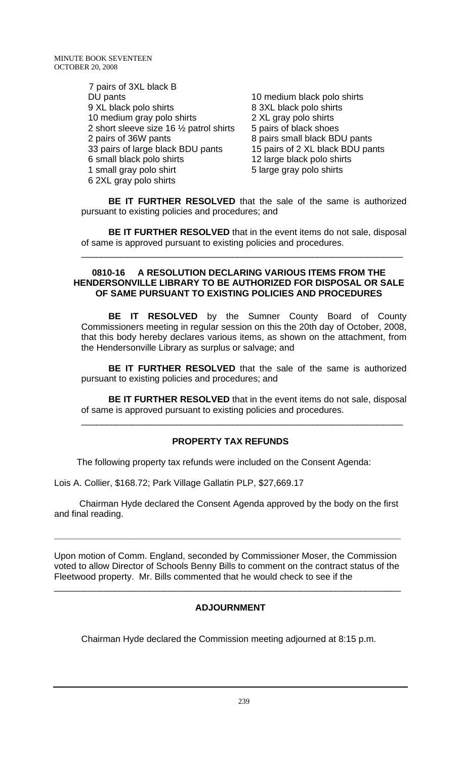7 pairs of 3XL black B DU pants 10 medium black polo shirts 9 XL black polo shirts 8 3XL black polo shirts<br>10 medium gray polo shirts 2 XL gray polo shirts 10 medium gray polo shirts 2 short sleeve size 16  $\frac{1}{2}$  patrol shirts 5 pairs of black shoes 2 pairs of 36W pants 8 pairs small black BDU pants 33 pairs of large black BDU pants 15 pairs of 2 XL black BDU pants 6 small black polo shirts 12 large black polo shirts 1 small gray polo shirt 5 large gray polo shirts 6 2XL gray polo shirts

**BE IT FURTHER RESOLVED** that the sale of the same is authorized pursuant to existing policies and procedures; and

**BE IT FURTHER RESOLVED** that in the event items do not sale, disposal of same is approved pursuant to existing policies and procedures.

\_\_\_\_\_\_\_\_\_\_\_\_\_\_\_\_\_\_\_\_\_\_\_\_\_\_\_\_\_\_\_\_\_\_\_\_\_\_\_\_\_\_\_\_\_\_\_\_\_\_\_\_\_\_\_\_\_\_\_\_\_\_\_\_

#### **0810-16 A RESOLUTION DECLARING VARIOUS ITEMS FROM THE HENDERSONVILLE LIBRARY TO BE AUTHORIZED FOR DISPOSAL OR SALE OF SAME PURSUANT TO EXISTING POLICIES AND PROCEDURES**

 **BE IT RESOLVED** by the Sumner County Board of County Commissioners meeting in regular session on this the 20th day of October, 2008, that this body hereby declares various items, as shown on the attachment, from the Hendersonville Library as surplus or salvage; and

**BE IT FURTHER RESOLVED** that the sale of the same is authorized pursuant to existing policies and procedures; and

**BE IT FURTHER RESOLVED** that in the event items do not sale, disposal of same is approved pursuant to existing policies and procedures.

\_\_\_\_\_\_\_\_\_\_\_\_\_\_\_\_\_\_\_\_\_\_\_\_\_\_\_\_\_\_\_\_\_\_\_\_\_\_\_\_\_\_\_\_\_\_\_\_\_\_\_\_\_\_\_\_\_\_\_\_\_\_\_\_

# **PROPERTY TAX REFUNDS**

The following property tax refunds were included on the Consent Agenda:

Lois A. Collier, \$168.72; Park Village Gallatin PLP, \$27,669.17

 Chairman Hyde declared the Consent Agenda approved by the body on the first and final reading.

**\_\_\_\_\_\_\_\_\_\_\_\_\_\_\_\_\_\_\_\_\_\_\_\_\_\_\_\_\_\_\_\_\_\_\_\_\_\_\_\_\_\_\_\_\_\_\_\_\_\_\_\_\_\_\_\_\_\_\_\_\_\_\_\_\_\_\_\_\_** 

Upon motion of Comm. England, seconded by Commissioner Moser, the Commission voted to allow Director of Schools Benny Bills to comment on the contract status of the Fleetwood property. Mr. Bills commented that he would check to see if the

\_\_\_\_\_\_\_\_\_\_\_\_\_\_\_\_\_\_\_\_\_\_\_\_\_\_\_\_\_\_\_\_\_\_\_\_\_\_\_\_\_\_\_\_\_\_\_\_\_\_\_\_\_\_\_\_\_\_\_\_\_\_\_\_\_\_\_\_\_

# **ADJOURNMENT**

Chairman Hyde declared the Commission meeting adjourned at 8:15 p.m.